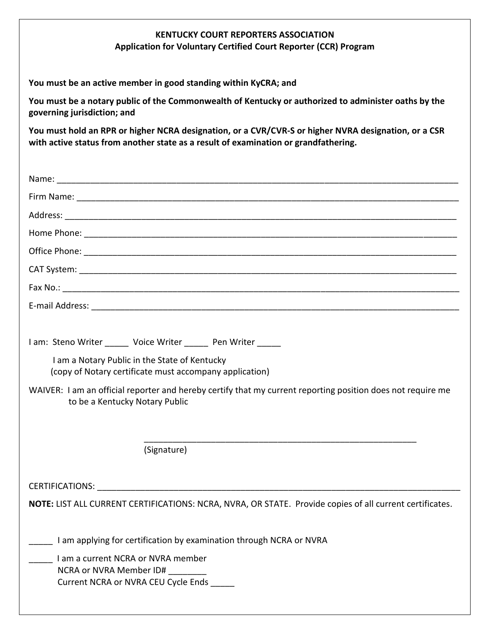## **KENTUCKY COURT REPORTERS ASSOCIATION Application for Voluntary Certified Court Reporter (CCR) Program**

**You must be an active member in good standing within KyCRA; and**

**You must be a notary public of the Commonwealth of Kentucky or authorized to administer oaths by the governing jurisdiction; and**

**You must hold an RPR or higher NCRA designation, or a CVR/CVR-S or higher NVRA designation, or a CSR with active status from another state as a result of examination or grandfathering.**

| I am: Steno Writer Voice Writer Pen Writer                                                                                                    |
|-----------------------------------------------------------------------------------------------------------------------------------------------|
| I am a Notary Public in the State of Kentucky<br>(copy of Notary certificate must accompany application)                                      |
| WAIVER: I am an official reporter and hereby certify that my current reporting position does not require me<br>to be a Kentucky Notary Public |
| (Signature)                                                                                                                                   |
|                                                                                                                                               |
| NOTE: LIST ALL CURRENT CERTIFICATIONS: NCRA, NVRA, OR STATE. Provide copies of all current certificates.                                      |
| I am applying for certification by examination through NCRA or NVRA                                                                           |
| I am a current NCRA or NVRA member<br>NCRA or NVRA Member ID#<br>Current NCRA or NVRA CEU Cycle Ends                                          |